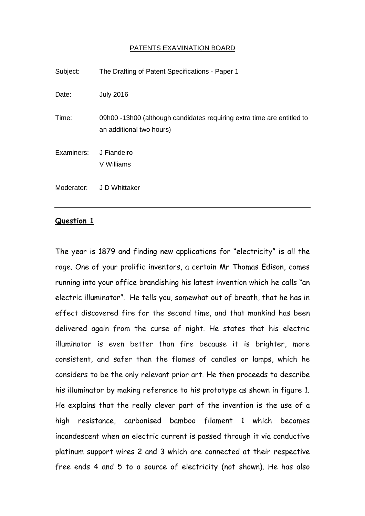## PATENTS EXAMINATION BOARD

| Subject:               | The Drafting of Patent Specifications - Paper 1                                                    |
|------------------------|----------------------------------------------------------------------------------------------------|
| Date:                  | <b>July 2016</b>                                                                                   |
| Time:                  | 09h00 -13h00 (although candidates requiring extra time are entitled to<br>an additional two hours) |
| Examiners: J Fiandeiro | V Williams                                                                                         |
| Moderator:             | J D Whittaker                                                                                      |

## **Question 1**

The year is 1879 and finding new applications for "electricity" is all the rage. One of your prolific inventors, a certain Mr Thomas Edison, comes running into your office brandishing his latest invention which he calls "an electric illuminator". He tells you, somewhat out of breath, that he has in effect discovered fire for the second time, and that mankind has been delivered again from the curse of night. He states that his electric illuminator is even better than fire because it is brighter, more consistent, and safer than the flames of candles or lamps, which he considers to be the only relevant prior art. He then proceeds to describe his illuminator by making reference to his prototype as shown in figure 1. He explains that the really clever part of the invention is the use of a high resistance, carbonised bamboo filament 1 which becomes incandescent when an electric current is passed through it via conductive platinum support wires 2 and 3 which are connected at their respective free ends 4 and 5 to a source of electricity (not shown). He has also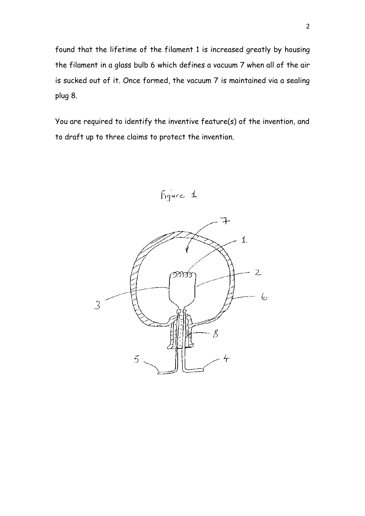found that the lifetime of the filament 1 is increased greatly by housing the filament in a glass bulb 6 which defines a vacuum 7 when all of the air is sucked out of it. Once formed, the vacuum 7 is maintained via a sealing plug 8.

You are required to identify the inventive feature(s) of the invention, and to draft up to three claims to protect the invention.



Figure 1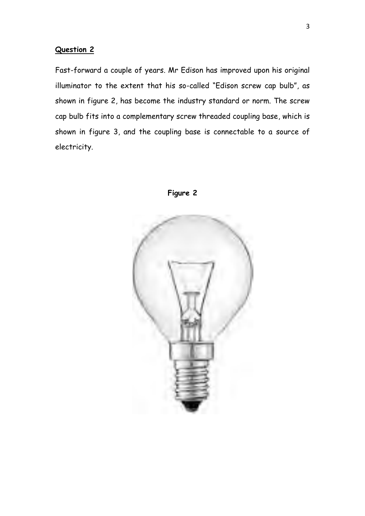## **Question 2**

Fast-forward a couple of years. Mr Edison has improved upon his original illuminator to the extent that his so-called "Edison screw cap bulb", as shown in figure 2, has become the industry standard or norm. The screw cap bulb fits into a complementary screw threaded coupling base, which is shown in figure 3, and the coupling base is connectable to a source of electricity.



**Figure 2**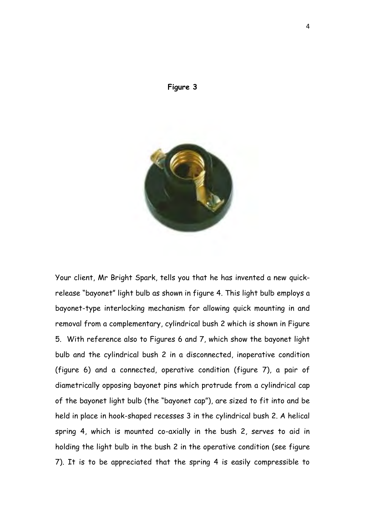



Your client, Mr Bright Spark, tells you that he has invented a new quickrelease "bayonet" light bulb as shown in figure 4. This light bulb employs a bayonet-type interlocking mechanism for allowing quick mounting in and removal from a complementary, cylindrical bush 2 which is shown in Figure 5. With reference also to Figures 6 and 7, which show the bayonet light bulb and the cylindrical bush 2 in a disconnected, inoperative condition (figure 6) and a connected, operative condition (figure 7), a pair of diametrically opposing bayonet pins which protrude from a cylindrical cap of the bayonet light bulb (the "bayonet cap"), are sized to fit into and be held in place in hook-shaped recesses 3 in the cylindrical bush 2. A helical spring 4, which is mounted co-axially in the bush 2, serves to aid in holding the light bulb in the bush 2 in the operative condition (see figure 7). It is to be appreciated that the spring 4 is easily compressible to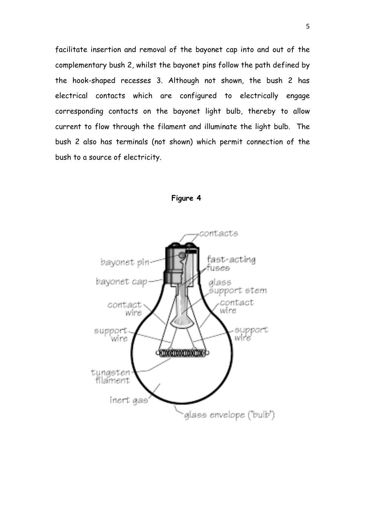facilitate insertion and removal of the bayonet cap into and out of the complementary bush 2, whilst the bayonet pins follow the path defined by the hook-shaped recesses 3. Although not shown, the bush 2 has electrical contacts which are configured to electrically engage corresponding contacts on the bayonet light bulb, thereby to allow current to flow through the filament and illuminate the light bulb. The bush 2 also has terminals (not shown) which permit connection of the bush to a source of electricity.



**Figure 4**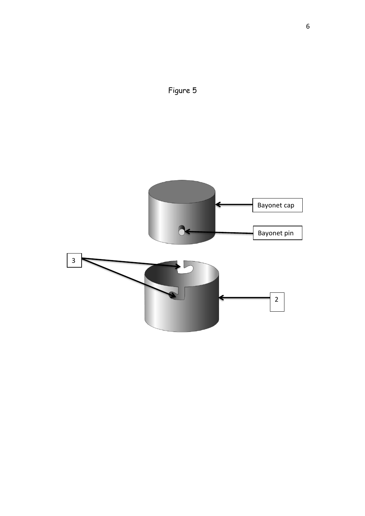

Figure 5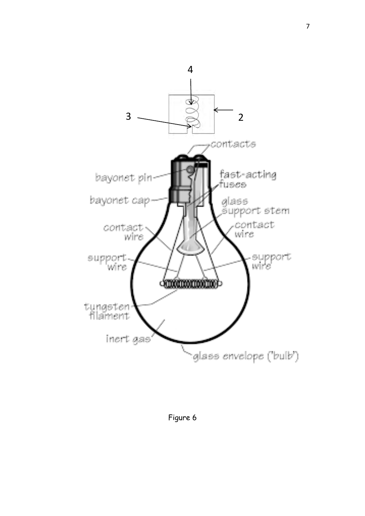

Figure 6